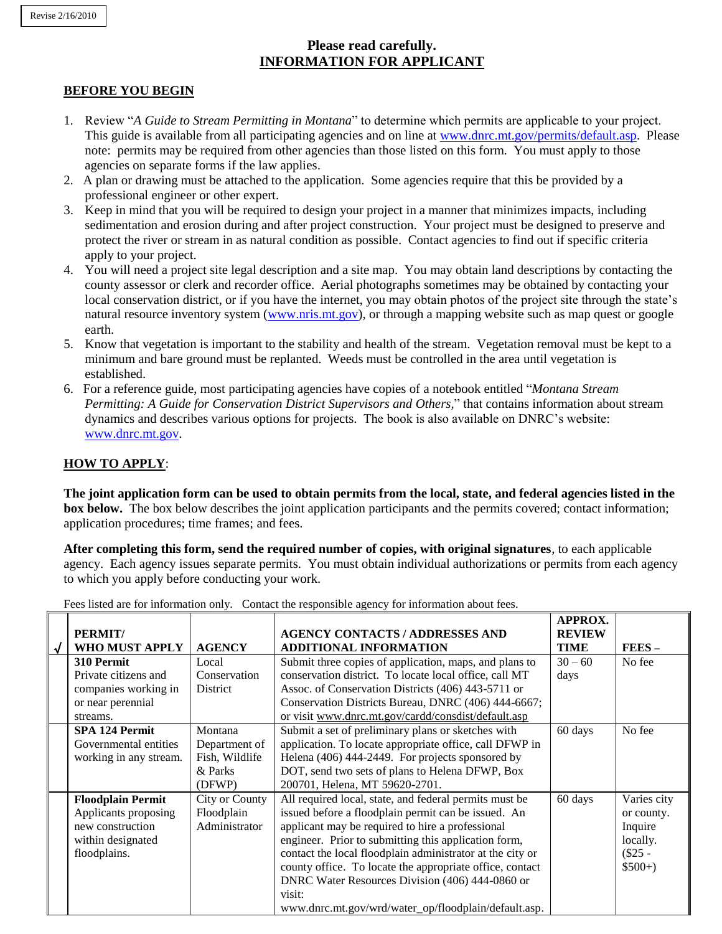# **Please read carefully. INFORMATION FOR APPLICANT**

### **BEFORE YOU BEGIN**

- 1. Review "*A Guide to Stream Permitting in Montana*" to determine which permits are applicable to your project. This guide is available from all participating agencies and on line at [www.dnrc.mt.gov/permits/default.asp.](http://www.dnrc.mt.gov/permits/default.asp) Please note: permits may be required from other agencies than those listed on this form. You must apply to those agencies on separate forms if the law applies.
- 2. A plan or drawing must be attached to the application. Some agencies require that this be provided by a professional engineer or other expert.
- 3. Keep in mind that you will be required to design your project in a manner that minimizes impacts, including sedimentation and erosion during and after project construction. Your project must be designed to preserve and protect the river or stream in as natural condition as possible. Contact agencies to find out if specific criteria apply to your project.
- 4. You will need a project site legal description and a site map. You may obtain land descriptions by contacting the county assessor or clerk and recorder office. Aerial photographs sometimes may be obtained by contacting your local conservation district, or if you have the internet, you may obtain photos of the project site through the state's natural resource inventory system [\(www.nris.mt.gov\)](http://www.nris.mt.gov/), or through a mapping website such as map quest or google earth.
- 5. Know that vegetation is important to the stability and health of the stream. Vegetation removal must be kept to a minimum and bare ground must be replanted. Weeds must be controlled in the area until vegetation is established.
- 6. For a reference guide, most participating agencies have copies of a notebook entitled "*Montana Stream Permitting: A Guide for Conservation District Supervisors and Others,*" that contains information about stream dynamics and describes various options for projects. The book is also available on DNRC's website: [www.dnrc.mt.gov.](http://www.dnrc.mt.gov/)

## **HOW TO APPLY**:

**The joint application form can be used to obtain permits from the local, state, and federal agencies listed in the box below.** The box below describes the joint application participants and the permits covered; contact information; application procedures; time frames; and fees.

**After completing this form, send the required number of copies, with original signatures**, to each applicable agency. Each agency issues separate permits. You must obtain individual authorizations or permits from each agency to which you apply before conducting your work.

| PERMIT/                                                                                                   |                                                                 | <b>AGENCY CONTACTS / ADDRESSES AND</b>                                                                                                                                                                                                                                                                                                                                                                                                                                  | <b>APPROX.</b><br><b>REVIEW</b> |                                                                          |
|-----------------------------------------------------------------------------------------------------------|-----------------------------------------------------------------|-------------------------------------------------------------------------------------------------------------------------------------------------------------------------------------------------------------------------------------------------------------------------------------------------------------------------------------------------------------------------------------------------------------------------------------------------------------------------|---------------------------------|--------------------------------------------------------------------------|
| <b>WHO MUST APPLY</b>                                                                                     | <b>AGENCY</b>                                                   | <b>ADDITIONAL INFORMATION</b>                                                                                                                                                                                                                                                                                                                                                                                                                                           | <b>TIME</b>                     | $FEES -$                                                                 |
| 310 Permit<br>Private citizens and<br>companies working in<br>or near perennial<br>streams.               | Local<br>Conservation<br>District                               | Submit three copies of application, maps, and plans to<br>conservation district. To locate local office, call MT<br>Assoc. of Conservation Districts (406) 443-5711 or<br>Conservation Districts Bureau, DNRC (406) 444-6667;<br>or visit www.dnrc.mt.gov/cardd/consdist/default.asp                                                                                                                                                                                    | $30 - 60$<br>days               | No fee                                                                   |
| <b>SPA 124 Permit</b><br>Governmental entities<br>working in any stream.                                  | Montana<br>Department of<br>Fish, Wildlife<br>& Parks<br>(DFWP) | Submit a set of preliminary plans or sketches with<br>application. To locate appropriate office, call DFWP in<br>Helena (406) 444-2449. For projects sponsored by<br>DOT, send two sets of plans to Helena DFWP, Box<br>200701, Helena, MT 59620-2701.                                                                                                                                                                                                                  | 60 days                         | No fee                                                                   |
| <b>Floodplain Permit</b><br>Applicants proposing<br>new construction<br>within designated<br>floodplains. | <b>City or County</b><br>Floodplain<br>Administrator            | All required local, state, and federal permits must be<br>issued before a floodplain permit can be issued. An<br>applicant may be required to hire a professional<br>engineer. Prior to submitting this application form,<br>contact the local floodplain administrator at the city or<br>county office. To locate the appropriate office, contact<br>DNRC Water Resources Division (406) 444-0860 or<br>visit:<br>www.dnrc.mt.gov/wrd/water_op/floodplain/default.asp. | 60 days                         | Varies city<br>or county.<br>Inquire<br>locally.<br>$($25 -$<br>$$500+)$ |

Fees listed are for information only. Contact the responsible agency for information about fees.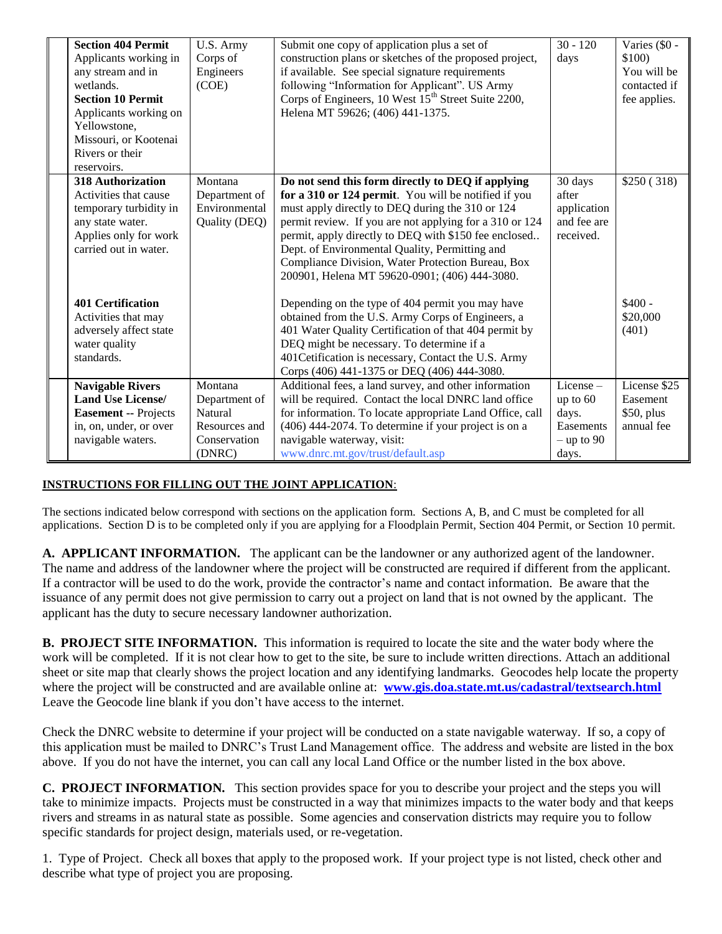| <b>Section 404 Permit</b><br>Applicants working in<br>any stream and in<br>wetlands.<br><b>Section 10 Permit</b><br>Applicants working on<br>Yellowstone,<br>Missouri, or Kootenai<br>Rivers or their<br>reservoirs. | U.S. Army<br>Corps of<br>Engineers<br>(COE)                                    | Submit one copy of application plus a set of<br>construction plans or sketches of the proposed project,<br>if available. See special signature requirements<br>following "Information for Applicant". US Army<br>Corps of Engineers, 10 West 15 <sup>th</sup> Street Suite 2200,<br>Helena MT 59626; (406) 441-1375.                                                                                                                      | $30 - 120$<br>days                                                       | Varies (\$0 -<br>\$100)<br>You will be<br>contacted if<br>fee applies. |
|----------------------------------------------------------------------------------------------------------------------------------------------------------------------------------------------------------------------|--------------------------------------------------------------------------------|-------------------------------------------------------------------------------------------------------------------------------------------------------------------------------------------------------------------------------------------------------------------------------------------------------------------------------------------------------------------------------------------------------------------------------------------|--------------------------------------------------------------------------|------------------------------------------------------------------------|
| <b>318 Authorization</b><br>Activities that cause<br>temporary turbidity in<br>any state water.<br>Applies only for work<br>carried out in water.                                                                    | Montana<br>Department of<br>Environmental<br>Quality (DEQ)                     | Do not send this form directly to DEQ if applying<br>for a 310 or 124 permit. You will be notified if you<br>must apply directly to DEQ during the 310 or 124<br>permit review. If you are not applying for a 310 or 124<br>permit, apply directly to DEQ with \$150 fee enclosed<br>Dept. of Environmental Quality, Permitting and<br>Compliance Division, Water Protection Bureau, Box<br>200901, Helena MT 59620-0901; (406) 444-3080. | 30 days<br>after<br>application<br>and fee are<br>received.              | \$250(318)                                                             |
| <b>401 Certification</b><br>Activities that may<br>adversely affect state<br>water quality<br>standards.                                                                                                             |                                                                                | Depending on the type of 404 permit you may have<br>obtained from the U.S. Army Corps of Engineers, a<br>401 Water Quality Certification of that 404 permit by<br>DEQ might be necessary. To determine if a<br>401 Cetification is necessary, Contact the U.S. Army<br>Corps (406) 441-1375 or DEQ (406) 444-3080.                                                                                                                        |                                                                          | $$400 -$<br>\$20,000<br>(401)                                          |
| <b>Navigable Rivers</b><br><b>Land Use License/</b><br><b>Easement -- Projects</b><br>in, on, under, or over<br>navigable waters.                                                                                    | Montana<br>Department of<br>Natural<br>Resources and<br>Conservation<br>(DNRC) | Additional fees, a land survey, and other information<br>will be required. Contact the local DNRC land office<br>for information. To locate appropriate Land Office, call<br>(406) 444-2074. To determine if your project is on a<br>navigable waterway, visit:<br>www.dnrc.mt.gov/trust/default.asp                                                                                                                                      | $License -$<br>up to $60$<br>days.<br>Easements<br>$-$ up to 90<br>days. | License \$25<br>Easement<br>\$50, plus<br>annual fee                   |

# **INSTRUCTIONS FOR FILLING OUT THE JOINT APPLICATION**:

The sections indicated below correspond with sections on the application form. Sections A, B, and C must be completed for all applications. Section D is to be completed only if you are applying for a Floodplain Permit, Section 404 Permit, or Section 10 permit.

**A. APPLICANT INFORMATION.** The applicant can be the landowner or any authorized agent of the landowner. The name and address of the landowner where the project will be constructed are required if different from the applicant. If a contractor will be used to do the work, provide the contractor's name and contact information. Be aware that the issuance of any permit does not give permission to carry out a project on land that is not owned by the applicant. The applicant has the duty to secure necessary landowner authorization.

**B. PROJECT SITE INFORMATION.** This information is required to locate the site and the water body where the work will be completed. If it is not clear how to get to the site, be sure to include written directions. Attach an additional sheet or site map that clearly shows the project location and any identifying landmarks. Geocodes help locate the property where the project will be constructed and are available online at: **[www.gis.doa.state.mt.us/cadastral/textsearch.html](http://www.gis.doa.state.mt.us/cadastral/textsearch.html)** Leave the Geocode line blank if you don't have access to the internet.

Check the DNRC website to determine if your project will be conducted on a state navigable waterway. If so, a copy of this application must be mailed to DNRC's Trust Land Management office. The address and website are listed in the box above. If you do not have the internet, you can call any local Land Office or the number listed in the box above.

**C. PROJECT INFORMATION.** This section provides space for you to describe your project and the steps you will take to minimize impacts. Projects must be constructed in a way that minimizes impacts to the water body and that keeps rivers and streams in as natural state as possible. Some agencies and conservation districts may require you to follow specific standards for project design, materials used, or re-vegetation.

1. Type of Project. Check all boxes that apply to the proposed work. If your project type is not listed, check other and describe what type of project you are proposing.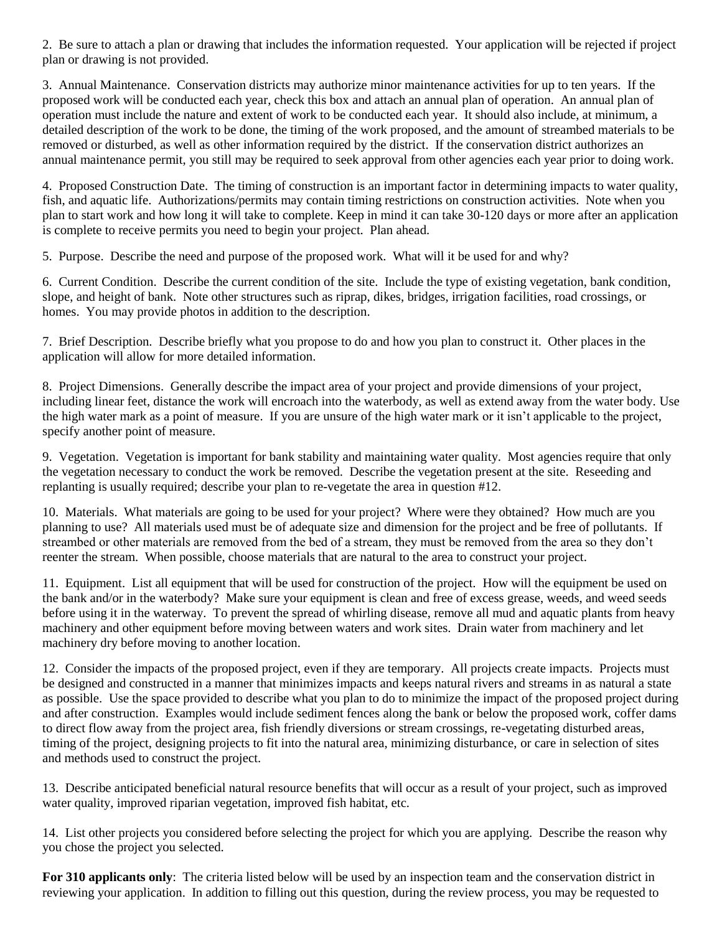2. Be sure to attach a plan or drawing that includes the information requested. Your application will be rejected if project plan or drawing is not provided.

3. Annual Maintenance. Conservation districts may authorize minor maintenance activities for up to ten years. If the proposed work will be conducted each year, check this box and attach an annual plan of operation. An annual plan of operation must include the nature and extent of work to be conducted each year. It should also include, at minimum, a detailed description of the work to be done, the timing of the work proposed, and the amount of streambed materials to be removed or disturbed, as well as other information required by the district. If the conservation district authorizes an annual maintenance permit, you still may be required to seek approval from other agencies each year prior to doing work.

4. Proposed Construction Date. The timing of construction is an important factor in determining impacts to water quality, fish, and aquatic life. Authorizations/permits may contain timing restrictions on construction activities. Note when you plan to start work and how long it will take to complete. Keep in mind it can take 30-120 days or more after an application is complete to receive permits you need to begin your project. Plan ahead.

5. Purpose. Describe the need and purpose of the proposed work. What will it be used for and why?

6. Current Condition. Describe the current condition of the site. Include the type of existing vegetation, bank condition, slope, and height of bank. Note other structures such as riprap, dikes, bridges, irrigation facilities, road crossings, or homes. You may provide photos in addition to the description.

7. Brief Description. Describe briefly what you propose to do and how you plan to construct it. Other places in the application will allow for more detailed information.

8. Project Dimensions. Generally describe the impact area of your project and provide dimensions of your project, including linear feet, distance the work will encroach into the waterbody, as well as extend away from the water body. Use the high water mark as a point of measure. If you are unsure of the high water mark or it isn't applicable to the project, specify another point of measure.

9. Vegetation. Vegetation is important for bank stability and maintaining water quality. Most agencies require that only the vegetation necessary to conduct the work be removed. Describe the vegetation present at the site. Reseeding and replanting is usually required; describe your plan to re-vegetate the area in question #12.

10. Materials. What materials are going to be used for your project? Where were they obtained? How much are you planning to use? All materials used must be of adequate size and dimension for the project and be free of pollutants. If streambed or other materials are removed from the bed of a stream, they must be removed from the area so they don't reenter the stream. When possible, choose materials that are natural to the area to construct your project.

11. Equipment. List all equipment that will be used for construction of the project. How will the equipment be used on the bank and/or in the waterbody? Make sure your equipment is clean and free of excess grease, weeds, and weed seeds before using it in the waterway. To prevent the spread of whirling disease, remove all mud and aquatic plants from heavy machinery and other equipment before moving between waters and work sites. Drain water from machinery and let machinery dry before moving to another location.

12. Consider the impacts of the proposed project, even if they are temporary. All projects create impacts. Projects must be designed and constructed in a manner that minimizes impacts and keeps natural rivers and streams in as natural a state as possible. Use the space provided to describe what you plan to do to minimize the impact of the proposed project during and after construction. Examples would include sediment fences along the bank or below the proposed work, coffer dams to direct flow away from the project area, fish friendly diversions or stream crossings, re-vegetating disturbed areas, timing of the project, designing projects to fit into the natural area, minimizing disturbance, or care in selection of sites and methods used to construct the project.

13. Describe anticipated beneficial natural resource benefits that will occur as a result of your project, such as improved water quality, improved riparian vegetation, improved fish habitat, etc.

14. List other projects you considered before selecting the project for which you are applying. Describe the reason why you chose the project you selected.

**For 310 applicants only**: The criteria listed below will be used by an inspection team and the conservation district in reviewing your application. In addition to filling out this question, during the review process, you may be requested to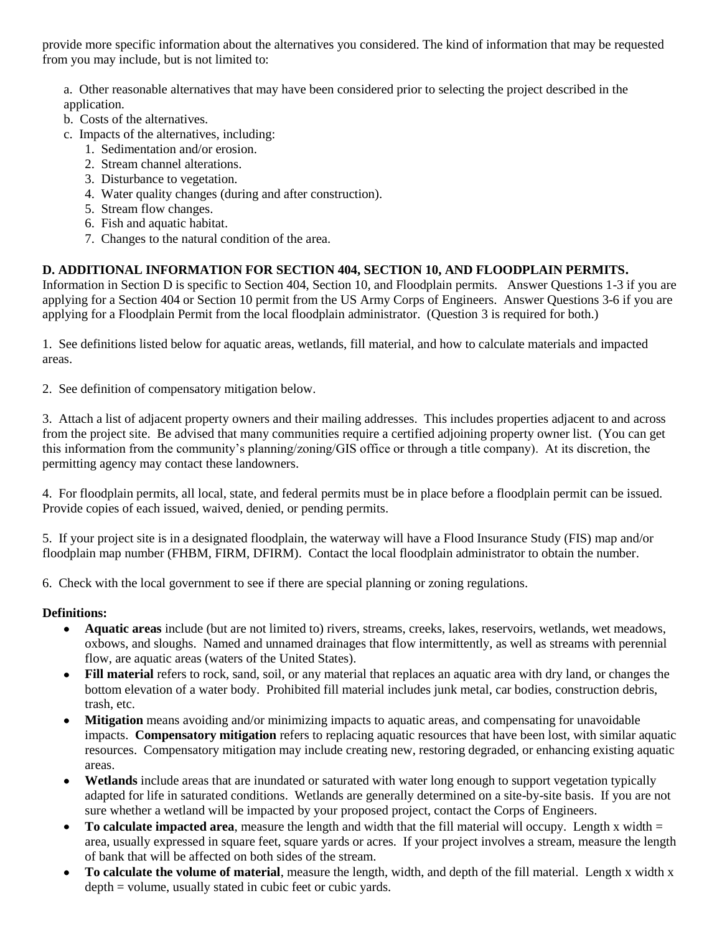provide more specific information about the alternatives you considered. The kind of information that may be requested from you may include, but is not limited to:

a. Other reasonable alternatives that may have been considered prior to selecting the project described in the application.

- b. Costs of the alternatives.
- c. Impacts of the alternatives, including:
	- 1. Sedimentation and/or erosion.
	- 2. Stream channel alterations.
	- 3. Disturbance to vegetation.
	- 4. Water quality changes (during and after construction).
	- 5. Stream flow changes.
	- 6. Fish and aquatic habitat.
	- 7. Changes to the natural condition of the area.

## **D. ADDITIONAL INFORMATION FOR SECTION 404, SECTION 10, AND FLOODPLAIN PERMITS.**

Information in Section D is specific to Section 404, Section 10, and Floodplain permits. Answer Questions 1-3 if you are applying for a Section 404 or Section 10 permit from the US Army Corps of Engineers. Answer Questions 3-6 if you are applying for a Floodplain Permit from the local floodplain administrator. (Question 3 is required for both.)

1. See definitions listed below for aquatic areas, wetlands, fill material, and how to calculate materials and impacted areas.

2. See definition of compensatory mitigation below.

3. Attach a list of adjacent property owners and their mailing addresses. This includes properties adjacent to and across from the project site. Be advised that many communities require a certified adjoining property owner list. (You can get this information from the community's planning/zoning/GIS office or through a title company). At its discretion, the permitting agency may contact these landowners.

4. For floodplain permits, all local, state, and federal permits must be in place before a floodplain permit can be issued. Provide copies of each issued, waived, denied, or pending permits.

5. If your project site is in a designated floodplain, the waterway will have a Flood Insurance Study (FIS) map and/or floodplain map number (FHBM, FIRM, DFIRM). Contact the local floodplain administrator to obtain the number.

6. Check with the local government to see if there are special planning or zoning regulations.

### **Definitions:**

- **Aquatic areas** include (but are not limited to) rivers, streams, creeks, lakes, reservoirs, wetlands, wet meadows, oxbows, and sloughs. Named and unnamed drainages that flow intermittently, as well as streams with perennial flow, are aquatic areas (waters of the United States).
- **Fill material** refers to rock, sand, soil, or any material that replaces an aquatic area with dry land, or changes the bottom elevation of a water body. Prohibited fill material includes junk metal, car bodies, construction debris, trash, etc.
- **Mitigation** means avoiding and/or minimizing impacts to aquatic areas, and compensating for unavoidable  $\bullet$ impacts. **Compensatory mitigation** refers to replacing aquatic resources that have been lost, with similar aquatic resources. Compensatory mitigation may include creating new, restoring degraded, or enhancing existing aquatic areas.
- **Wetlands** include areas that are inundated or saturated with water long enough to support vegetation typically  $\bullet$ adapted for life in saturated conditions. Wetlands are generally determined on a site-by-site basis. If you are not sure whether a wetland will be impacted by your proposed project, contact the Corps of Engineers.
- **To calculate impacted area**, measure the length and width that the fill material will occupy. Length x width =  $\bullet$ area, usually expressed in square feet, square yards or acres. If your project involves a stream, measure the length of bank that will be affected on both sides of the stream.
- **To calculate the volume of material**, measure the length, width, and depth of the fill material. Length x width x depth = volume, usually stated in cubic feet or cubic yards.